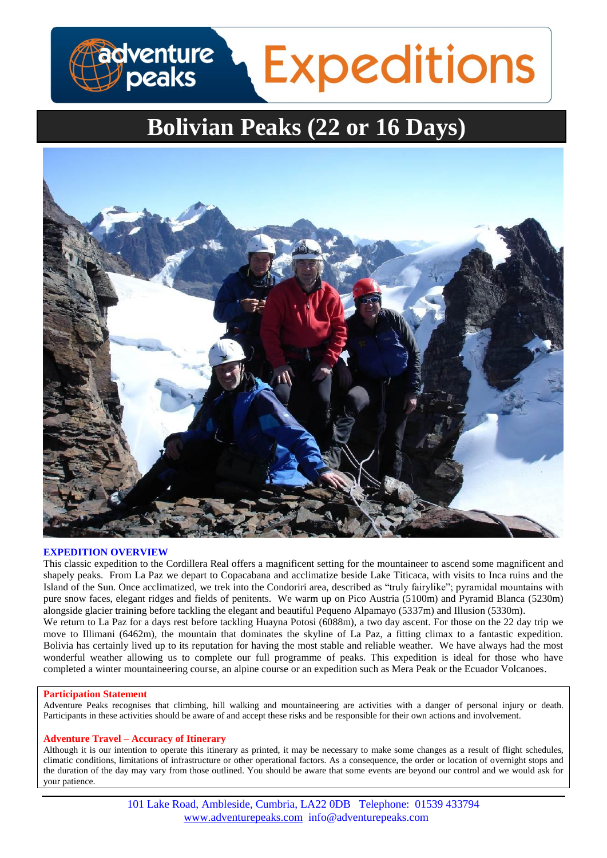# adventure<br>Deaks **Expeditions**

## **Bolivian Peaks (22 or 16 Days)**



## **EXPEDITION OVERVIEW**

This classic expedition to the Cordillera Real offers a magnificent setting for the mountaineer to ascend some magnificent and shapely peaks. From La Paz we depart to Copacabana and acclimatize beside Lake Titicaca, with visits to Inca ruins and the Island of the Sun. Once acclimatized, we trek into the Condoriri area, described as "truly fairylike"; pyramidal mountains with pure snow faces, elegant ridges and fields of penitents. We warm up on Pico Austria (5100m) and Pyramid Blanca (5230m) alongside glacier training before tackling the elegant and beautiful Pequeno Alpamayo (5337m) and Illusion (5330m). We return to La Paz for a days rest before tackling Huayna Potosi (6088m), a two day ascent. For those on the 22 day trip we move to Illimani (6462m), the mountain that dominates the skyline of La Paz, a fitting climax to a fantastic expedition. Bolivia has certainly lived up to its reputation for having the most stable and reliable weather. We have always had the most wonderful weather allowing us to complete our full programme of peaks. This expedition is ideal for those who have completed a winter mountaineering course, an alpine course or an expedition such as Mera Peak or the Ecuador Volcanoes.

## **Participation Statement**

Adventure Peaks recognises that climbing, hill walking and mountaineering are activities with a danger of personal injury or death. Participants in these activities should be aware of and accept these risks and be responsible for their own actions and involvement.

#### **Adventure Travel – Accuracy of Itinerary**

Although it is our intention to operate this itinerary as printed, it may be necessary to make some changes as a result of flight schedules, climatic conditions, limitations of infrastructure or other operational factors. As a consequence, the order or location of overnight stops and the duration of the day may vary from those outlined. You should be aware that some events are beyond our control and we would ask for your patience.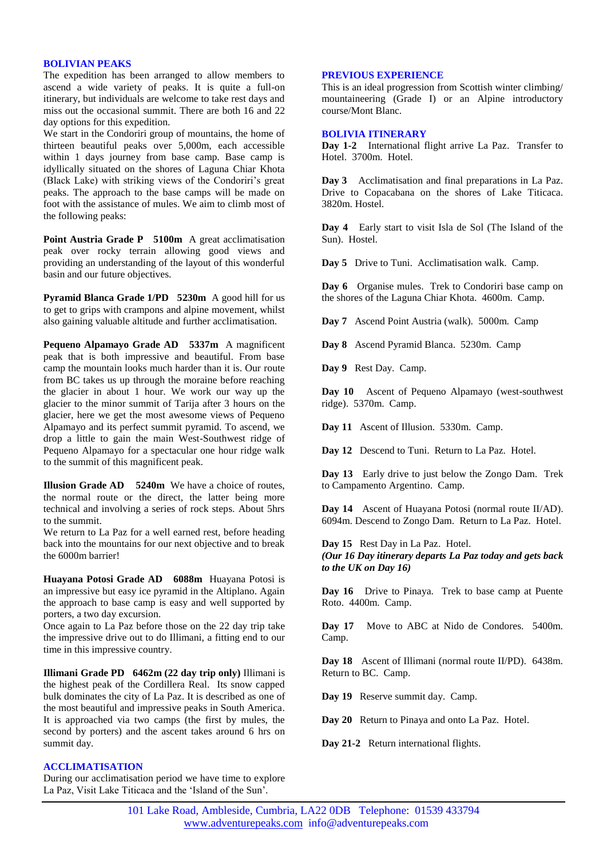#### **BOLIVIAN PEAKS**

The expedition has been arranged to allow members to ascend a wide variety of peaks. It is quite a full-on itinerary, but individuals are welcome to take rest days and miss out the occasional summit. There are both 16 and 22 day options for this expedition.

We start in the Condoriri group of mountains, the home of thirteen beautiful peaks over 5,000m, each accessible within 1 days journey from base camp. Base camp is idyllically situated on the shores of Laguna Chiar Khota (Black Lake) with striking views of the Condoriri's great peaks. The approach to the base camps will be made on foot with the assistance of mules. We aim to climb most of the following peaks:

**Point Austria Grade P 5100m** A great acclimatisation peak over rocky terrain allowing good views and providing an understanding of the layout of this wonderful basin and our future objectives.

**Pyramid Blanca Grade 1/PD 5230m** A good hill for us to get to grips with crampons and alpine movement, whilst also gaining valuable altitude and further acclimatisation.

**Pequeno Alpamayo Grade AD 5337m** A magnificent peak that is both impressive and beautiful. From base camp the mountain looks much harder than it is. Our route from BC takes us up through the moraine before reaching the glacier in about 1 hour. We work our way up the glacier to the minor summit of Tarija after 3 hours on the glacier, here we get the most awesome views of Pequeno Alpamayo and its perfect summit pyramid. To ascend, we drop a little to gain the main West-Southwest ridge of Pequeno Alpamayo for a spectacular one hour ridge walk to the summit of this magnificent peak.

**Illusion Grade AD 5240m** We have a choice of routes, the normal route or the direct, the latter being more technical and involving a series of rock steps. About 5hrs to the summit.

We return to La Paz for a well earned rest, before heading back into the mountains for our next objective and to break the 6000m barrier!

**Huayana Potosi Grade AD 6088m** Huayana Potosi is an impressive but easy ice pyramid in the Altiplano. Again the approach to base camp is easy and well supported by porters, a two day excursion.

Once again to La Paz before those on the 22 day trip take the impressive drive out to do Illimani, a fitting end to our time in this impressive country.

**Illimani Grade PD 6462m (22 day trip only)** Illimani is the highest peak of the Cordillera Real. Its snow capped bulk dominates the city of La Paz. It is described as one of the most beautiful and impressive peaks in South America. It is approached via two camps (the first by mules, the second by porters) and the ascent takes around 6 hrs on summit day.

## **ACCLIMATISATION**

During our acclimatisation period we have time to explore La Paz, Visit Lake Titicaca and the 'Island of the Sun'.

## **PREVIOUS EXPERIENCE**

This is an ideal progression from Scottish winter climbing/ mountaineering (Grade I) or an Alpine introductory course/Mont Blanc.

#### **BOLIVIA ITINERARY**

Day 1-2 International flight arrive La Paz. Transfer to Hotel. 3700m. Hotel.

**Day 3** Acclimatisation and final preparations in La Paz. Drive to Copacabana on the shores of Lake Titicaca. 3820m. Hostel.

**Day 4** Early start to visit Isla de Sol (The Island of the Sun). Hostel.

**Day 5** Drive to Tuni. Acclimatisation walk. Camp.

Day 6 Organise mules. Trek to Condoriri base camp on the shores of the Laguna Chiar Khota. 4600m. Camp.

**Day 7** Ascend Point Austria (walk). 5000m. Camp

**Day 8** Ascend Pyramid Blanca. 5230m. Camp

**Day 9** Rest Day. Camp.

**Day 10** Ascent of Pequeno Alpamayo (west-southwest ridge). 5370m. Camp.

**Day 11** Ascent of Illusion. 5330m. Camp.

**Day 12** Descend to Tuni. Return to La Paz. Hotel.

**Day 13** Early drive to just below the Zongo Dam. Trek to Campamento Argentino. Camp.

**Day 14** Ascent of Huayana Potosi (normal route II/AD). 6094m. Descend to Zongo Dam. Return to La Paz. Hotel.

**Day 15** Rest Day in La Paz. Hotel.

*(Our 16 Day itinerary departs La Paz today and gets back to the UK on Day 16)*

Day 16 Drive to Pinaya. Trek to base camp at Puente Roto. 4400m. Camp.

**Day 17** Move to ABC at Nido de Condores. 5400m. Camp.

**Day 18** Ascent of Illimani (normal route II/PD). 6438m. Return to BC. Camp.

**Day 19** Reserve summit day. Camp.

**Day 20** Return to Pinaya and onto La Paz. Hotel.

Day 21-2 Return international flights.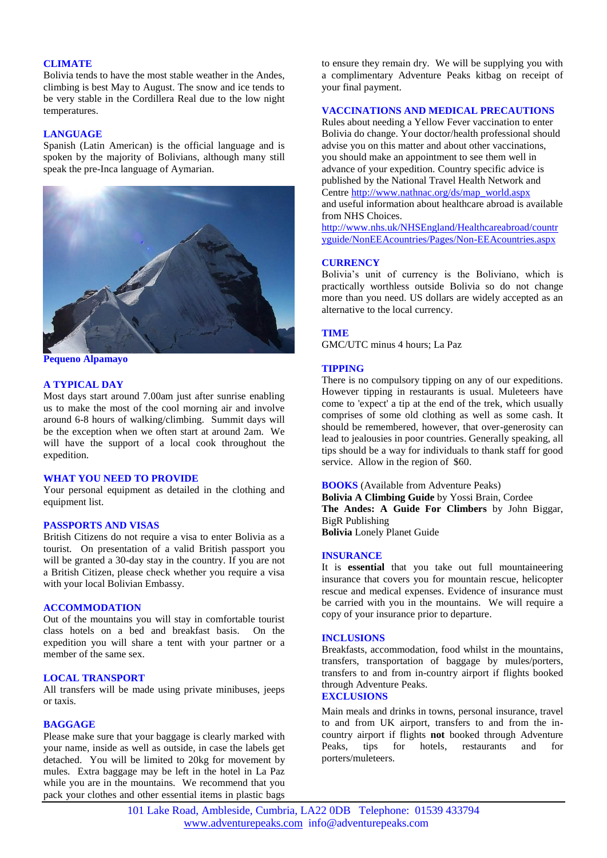#### **CLIMATE**

Bolivia tends to have the most stable weather in the Andes, climbing is best May to August. The snow and ice tends to be very stable in the Cordillera Real due to the low night temperatures.

#### **LANGUAGE**

Spanish (Latin American) is the official language and is spoken by the majority of Bolivians, although many still speak the pre-Inca language of Aymarian.



**Pequeno Alpamayo**

## **A TYPICAL DAY**

Most days start around 7.00am just after sunrise enabling us to make the most of the cool morning air and involve around 6-8 hours of walking/climbing. Summit days will be the exception when we often start at around 2am. We will have the support of a local cook throughout the expedition.

## **WHAT YOU NEED TO PROVIDE**

Your personal equipment as detailed in the clothing and equipment list.

#### **PASSPORTS AND VISAS**

British Citizens do not require a visa to enter Bolivia as a tourist. On presentation of a valid British passport you will be granted a 30-day stay in the country. If you are not a British Citizen, please check whether you require a visa with your local Bolivian Embassy.

#### **ACCOMMODATION**

Out of the mountains you will stay in comfortable tourist class hotels on a bed and breakfast basis. On the expedition you will share a tent with your partner or a member of the same sex.

#### **LOCAL TRANSPORT**

All transfers will be made using private minibuses, jeeps or taxis.

#### **BAGGAGE**

Please make sure that your baggage is clearly marked with your name, inside as well as outside, in case the labels get detached. You will be limited to 20kg for movement by mules. Extra baggage may be left in the hotel in La Paz while you are in the mountains. We recommend that you pack your clothes and other essential items in plastic bags

to ensure they remain dry. We will be supplying you with a complimentary Adventure Peaks kitbag on receipt of your final payment.

#### **VACCINATIONS AND MEDICAL PRECAUTIONS**

Rules about needing a Yellow Fever vaccination to enter Bolivia do change. Your doctor/health professional should advise you on this matter and about other vaccinations, you should make an appointment to see them well in advance of your expedition. Country specific advice is published by the National Travel Health Network and Centre [http://www.nathnac.org/ds/map\\_world.aspx](http://www.nathnac.org/ds/map_world.aspx) and useful information about healthcare abroad is available from NHS Choices.

[http://www.nhs.uk/NHSEngland/Healthcareabroad/countr](http://www.nhs.uk/NHSEngland/Healthcareabroad/countryguide/NonEEAcountries/Pages/Non-EEAcountries.aspx) [yguide/NonEEAcountries/Pages/Non-EEAcountries.aspx](http://www.nhs.uk/NHSEngland/Healthcareabroad/countryguide/NonEEAcountries/Pages/Non-EEAcountries.aspx)

#### **CURRENCY**

Bolivia's unit of currency is the Boliviano, which is practically worthless outside Bolivia so do not change more than you need. US dollars are widely accepted as an alternative to the local currency.

## **TIME**

GMC/UTC minus 4 hours; La Paz

#### **TIPPING**

There is no compulsory tipping on any of our expeditions. However tipping in restaurants is usual. Muleteers have come to 'expect' a tip at the end of the trek, which usually comprises of some old clothing as well as some cash. It should be remembered, however, that over-generosity can lead to jealousies in poor countries. Generally speaking, all tips should be a way for individuals to thank staff for good service. Allow in the region of \$60.

#### **BOOKS** (Available from Adventure Peaks)

**Bolivia A Climbing Guide** by Yossi Brain, Cordee **The Andes: A Guide For Climbers** by John Biggar, BigR Publishing **Bolivia** Lonely Planet Guide

#### **INSURANCE**

It is **essential** that you take out full mountaineering insurance that covers you for mountain rescue, helicopter rescue and medical expenses. Evidence of insurance must be carried with you in the mountains. We will require a copy of your insurance prior to departure.

#### **INCLUSIONS**

Breakfasts, accommodation, food whilst in the mountains, transfers, transportation of baggage by mules/porters, transfers to and from in-country airport if flights booked through Adventure Peaks.

## **EXCLUSIONS**

Main meals and drinks in towns, personal insurance, travel to and from UK airport, transfers to and from the incountry airport if flights **not** booked through Adventure Peaks, tips for hotels, restaurants and for porters/muleteers.